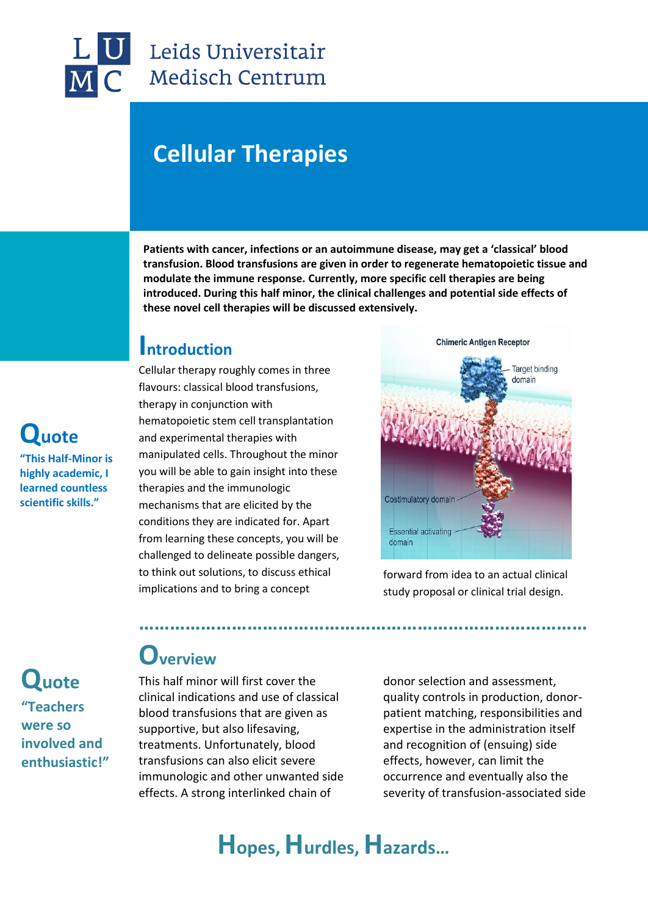

## Leids Universitair Medisch Centrum

# **Cellular Therapies**

**Patients with cancer, infections or an autoimmune disease, may get a 'classical' blood transfusion. Blood transfusions are given in order to regenerate hematopoietic tissue and modulate the immune response. Currently, more specific cell therapies are being introduced. During this half minor, the clinical challenges and potential side effects of these novel cell therapies will be discussed extensively.**

#### **Introduction**

Cellular therapy roughly comes in three flavours: classical blood transfusions, therapy in conjunction with hematopoietic stem cell transplantation and experimental therapies with manipulated cells. Throughout the minor you will be able to gain insight into these therapies and the immunologic mechanisms that are elicited by the conditions they are indicated for. Apart from learning these concepts, you will be challenged to delineate possible dangers, to think out solutions, to discuss ethical implications and to bring a concept



forward from idea to an actual clinical study proposal or clinical trial design.

**Quote "Teachers were so involved and enthusiastic!"**

**Quote** 

**"This Half-Minor is highly academic, I learned countless scientific skills."**

### **Overview**

This half minor will first cover the clinical indications and use of classical blood transfusions that are given as supportive, but also lifesaving, treatments. Unfortunately, blood transfusions can also elicit severe immunologic and other unwanted side effects. A strong interlinked chain of

donor selection and assessment, quality controls in production, donorpatient matching, responsibilities and expertise in the administration itself and recognition of (ensuing) side effects, however, can limit the occurrence and eventually also the severity of transfusion-associated side

## **Hopes, Hurdles, Hazards…**

**……………………………………………………………………………**